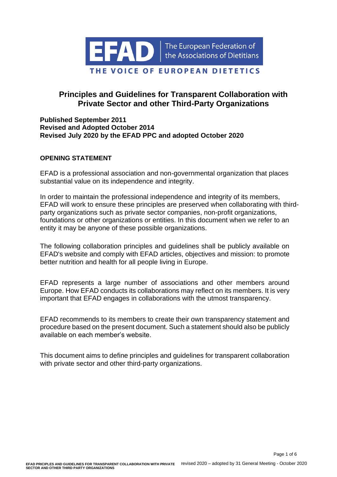

# **Principles and Guidelines for Transparent Collaboration with Private Sector and other Third-Party Organizations**

## **Published September 2011 Revised and Adopted October 2014 Revised July 2020 by the EFAD PPC and adopted October 2020**

## **OPENING STATEMENT**

EFAD is a professional association and non-governmental organization that places substantial value on its independence and integrity.

In order to maintain the professional independence and integrity of its members, EFAD will work to ensure these principles are preserved when collaborating with thirdparty organizations such as private sector companies, non-profit organizations, foundations or other organizations or entities. In this document when we refer to an entity it may be anyone of these possible organizations.

The following collaboration principles and guidelines shall be publicly available on EFAD's website and comply with EFAD articles, objectives and mission: to promote better nutrition and health for all people living in Europe.

EFAD represents a large number of associations and other members around Europe. How EFAD conducts its collaborations may reflect on its members. It is very important that EFAD engages in collaborations with the utmost transparency.

EFAD recommends to its members to create their own transparency statement and procedure based on the present document. Such a statement should also be publicly available on each member's website.

This document aims to define principles and guidelines for transparent collaboration with private sector and other third-party organizations.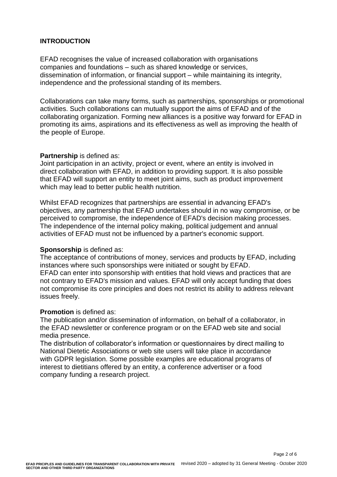### **INTRODUCTION**

EFAD recognises the value of increased collaboration with organisations companies and foundations – such as shared knowledge or services, dissemination of information, or financial support – while maintaining its integrity, independence and the professional standing of its members.

Collaborations can take many forms, such as partnerships, sponsorships or promotional activities. Such collaborations can mutually support the aims of EFAD and of the collaborating organization. Forming new alliances is a positive way forward for EFAD in promoting its aims, aspirations and its effectiveness as well as improving the health of the people of Europe.

#### **Partnership** is defined as:

Joint participation in an activity, project or event, where an entity is involved in direct collaboration with EFAD, in addition to providing support. It is also possible that EFAD will support an entity to meet joint aims, such as product improvement which may lead to better public health nutrition.

Whilst EFAD recognizes that partnerships are essential in advancing EFAD's objectives, any partnership that EFAD undertakes should in no way compromise, or be perceived to compromise, the independence of EFAD's decision making processes. The independence of the internal policy making, political judgement and annual activities of EFAD must not be influenced by a partner's economic support.

#### **Sponsorship** is defined as:

The acceptance of contributions of money, services and products by EFAD, including instances where such sponsorships were initiated or sought by EFAD. EFAD can enter into sponsorship with entities that hold views and practices that are not contrary to EFAD's mission and values. EFAD will only accept funding that does not compromise its core principles and does not restrict its ability to address relevant issues freely.

#### **Promotion** is defined as:

The publication and/or dissemination of information, on behalf of a collaborator, in the EFAD newsletter or conference program or on the EFAD web site and social media presence.

The distribution of collaborator's information or questionnaires by direct mailing to National Dietetic Associations or web site users will take place in accordance with GDPR legislation. Some possible examples are educational programs of interest to dietitians offered by an entity, a conference advertiser or a food company funding a research project.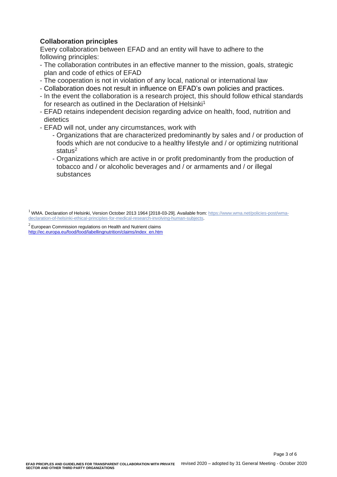# **Collaboration principles**

Every collaboration between EFAD and an entity will have to adhere to the following principles:

- The collaboration contributes in an effective manner to the mission, goals, strategic plan and code of ethics of EFAD
- The cooperation is not in violation of any local, national or international law
- Collaboration does not result in influence on EFAD's own policies and practices.
- In the event the collaboration is a research project, this should follow ethical standards for research as outlined in the Declaration of Helsinki<sup>1</sup>
- EFAD retains independent decision regarding advice on health, food, nutrition and dietetics
- EFAD will not, under any circumstances, work with
	- Organizations that are characterized predominantly by sales and / or production of foods which are not conducive to a healthy lifestyle and / or optimizing nutritional status<sup>2</sup>
	- Organizations which are active in or profit predominantly from the production of tobacco and / or alcoholic beverages and / or armaments and / or illegal substances

<sup>1</sup> WMA. Declaration of Helsinki, Version October 2013 1964 [2018-03-29]. Available from: [https://www.wma.net/policies-post/wma](https://www.wma.net/policies-post/wma-declaration-of-helsinki-ethical-principles-for-medical-research-involving-human-subjects)[declaration-of-helsinki-ethical-principles-for-medical-research-involving-human-subjects.](https://www.wma.net/policies-post/wma-declaration-of-helsinki-ethical-principles-for-medical-research-involving-human-subjects)

 $^2$  European Commission regulations on Health and Nutrient claims [http://ec.europa.eu/food/food/labellingnutrition/claims/index\\_en.htm](http://ec.europa.eu/food/food/labellingnutrition/claims/index_en.htm)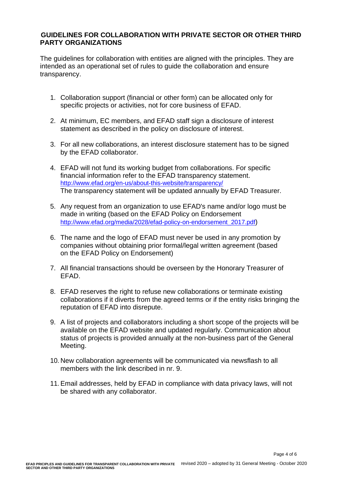## **GUIDELINES FOR COLLABORATION WITH PRIVATE SECTOR OR OTHER THIRD PARTY ORGANIZATIONS**

The guidelines for collaboration with entities are aligned with the principles. They are intended as an operational set of rules to guide the collaboration and ensure transparency.

- 1. Collaboration support (financial or other form) can be allocated only for specific projects or activities, not for core business of EFAD.
- 2. At minimum, EC members, and EFAD staff sign a disclosure of interest statement as described in the policy on disclosure of interest.
- 3. For all new collaborations, an interest disclosure statement has to be signed by the EFAD collaborator.
- 4. EFAD will not fund its working budget from collaborations. For specific financial information refer to the EFAD transparency statement. <http://www.efad.org/en-us/about-this-website/transparency/> The transparency statement will be updated annually by EFAD Treasurer.
- 5. Any request from an organization to use EFAD's name and/or logo must be made in writing (based on the EFAD Policy on Endorsement [http://www.efad.org/media/2028/efad-policy-on-endorsement\\_2017.pdf](http://www.efad.org/media/2028/efad-policy-on-endorsement_2017.pdf))
- 6. The name and the logo of EFAD must never be used in any promotion by companies without obtaining prior formal/legal written agreement (based on the EFAD Policy on Endorsement)
- 7. All financial transactions should be overseen by the Honorary Treasurer of EFAD.
- 8. EFAD reserves the right to refuse new collaborations or terminate existing collaborations if it diverts from the agreed terms or if the entity risks bringing the reputation of EFAD into disrepute.
- 9. A list of projects and collaborators including a short scope of the projects will be available on the EFAD website and updated regularly. Communication about status of projects is provided annually at the non-business part of the General Meeting.
- 10. New collaboration agreements will be communicated via newsflash to all members with the link described in nr. 9.
- 11. Email addresses, held by EFAD in compliance with data privacy laws, will not be shared with any collaborator.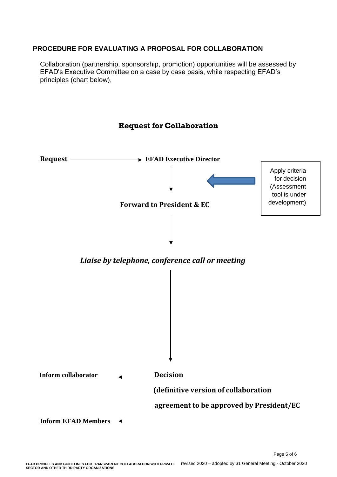# **PROCEDURE FOR EVALUATING A PROPOSAL FOR COLLABORATION**

Collaboration (partnership, sponsorship, promotion) opportunities will be assessed by EFAD's Executive Committee on a case by case basis, while respecting EFAD's principles (chart below),